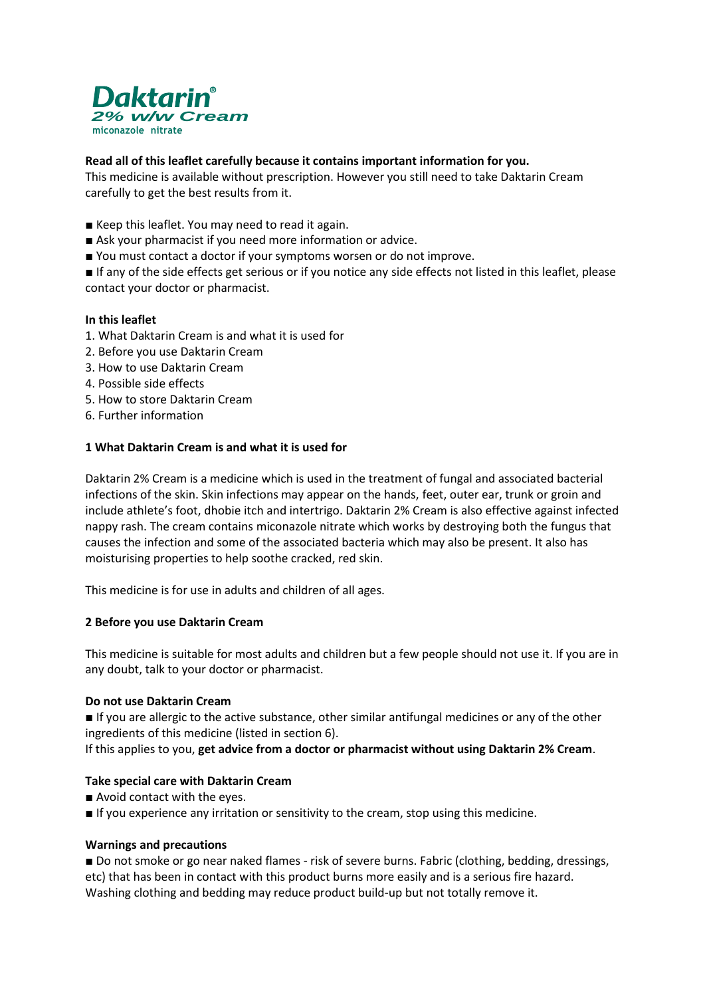

## **Read all of this leaflet carefully because it contains important information for you.**

This medicine is available without prescription. However you still need to take Daktarin Cream carefully to get the best results from it.

- Keep this leaflet. You may need to read it again.
- Ask your pharmacist if you need more information or advice.
- You must contact a doctor if your symptoms worsen or do not improve.

■ If any of the side effects get serious or if you notice any side effects not listed in this leaflet, please contact your doctor or pharmacist.

#### **In this leaflet**

- 1. What Daktarin Cream is and what it is used for
- 2. Before you use Daktarin Cream
- 3. How to use Daktarin Cream
- 4. Possible side effects
- 5. How to store Daktarin Cream
- 6. Further information

#### **1 What Daktarin Cream is and what it is used for**

Daktarin 2% Cream is a medicine which is used in the treatment of fungal and associated bacterial infections of the skin. Skin infections may appear on the hands, feet, outer ear, trunk or groin and include athlete's foot, dhobie itch and intertrigo. Daktarin 2% Cream is also effective against infected nappy rash. The cream contains miconazole nitrate which works by destroying both the fungus that causes the infection and some of the associated bacteria which may also be present. It also has moisturising properties to help soothe cracked, red skin.

This medicine is for use in adults and children of all ages.

#### **2 Before you use Daktarin Cream**

This medicine is suitable for most adults and children but a few people should not use it. If you are in any doubt, talk to your doctor or pharmacist.

#### **Do not use Daktarin Cream**

■ If you are allergic to the active substance, other similar antifungal medicines or any of the other ingredients of this medicine (listed in section 6).

If this applies to you, **get advice from a doctor or pharmacist without using Daktarin 2% Cream**.

#### **Take special care with Daktarin Cream**

- Avoid contact with the eyes.
- If you experience any irritation or sensitivity to the cream, stop using this medicine.

#### **Warnings and precautions**

■ Do not smoke or go near naked flames - risk of severe burns. Fabric (clothing, bedding, dressings, etc) that has been in contact with this product burns more easily and is a serious fire hazard. Washing clothing and bedding may reduce product build-up but not totally remove it.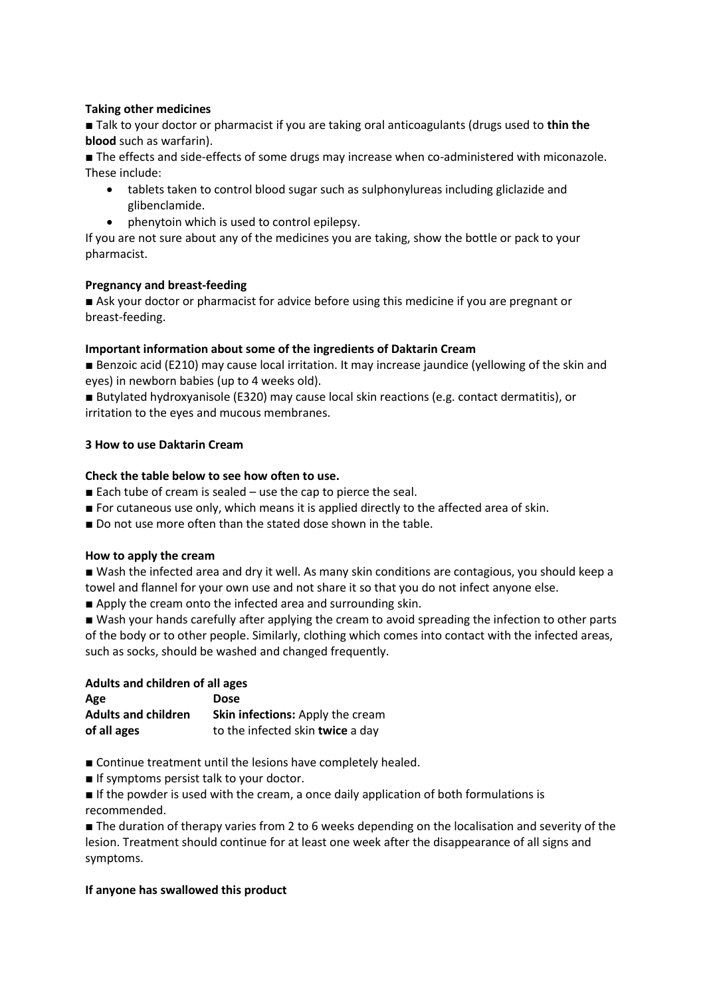# **Taking other medicines**

■ Talk to your doctor or pharmacist if you are taking oral anticoagulants (drugs used to **thin the blood** such as warfarin).

■ The effects and side-effects of some drugs may increase when co-administered with miconazole. These include:

- tablets taken to control blood sugar such as sulphonylureas including gliclazide and glibenclamide.
- phenytoin which is used to control epilepsy.

If you are not sure about any of the medicines you are taking, show the bottle or pack to your pharmacist.

## **Pregnancy and breast-feeding**

■ Ask your doctor or pharmacist for advice before using this medicine if you are pregnant or breast-feeding.

# **Important information about some of the ingredients of Daktarin Cream**

■ Benzoic acid (E210) may cause local irritation. It may increase jaundice (yellowing of the skin and eyes) in newborn babies (up to 4 weeks old).

■ Butylated hydroxyanisole (E320) may cause local skin reactions (e.g. contact dermatitis), or irritation to the eyes and mucous membranes.

# **3 How to use Daktarin Cream**

# **Check the table below to see how often to use.**

- Each tube of cream is sealed  $-$  use the cap to pierce the seal.
- For cutaneous use only, which means it is applied directly to the affected area of skin.
- Do not use more often than the stated dose shown in the table.

## **How to apply the cream**

■ Wash the infected area and dry it well. As many skin conditions are contagious, you should keep a towel and flannel for your own use and not share it so that you do not infect anyone else.

■ Apply the cream onto the infected area and surrounding skin.

■ Wash your hands carefully after applying the cream to avoid spreading the infection to other parts of the body or to other people. Similarly, clothing which comes into contact with the infected areas, such as socks, should be washed and changed frequently.

## **Adults and children of all ages**

| Age                        | <b>Dose</b>                      |
|----------------------------|----------------------------------|
| <b>Adults and children</b> | Skin infections: Apply the cream |
| of all ages                | to the infected skin twice a day |

■ Continue treatment until the lesions have completely healed.

■ If symptoms persist talk to your doctor.

■ If the powder is used with the cream, a once daily application of both formulations is recommended.

■ The duration of therapy varies from 2 to 6 weeks depending on the localisation and severity of the lesion. Treatment should continue for at least one week after the disappearance of all signs and symptoms.

## **If anyone has swallowed this product**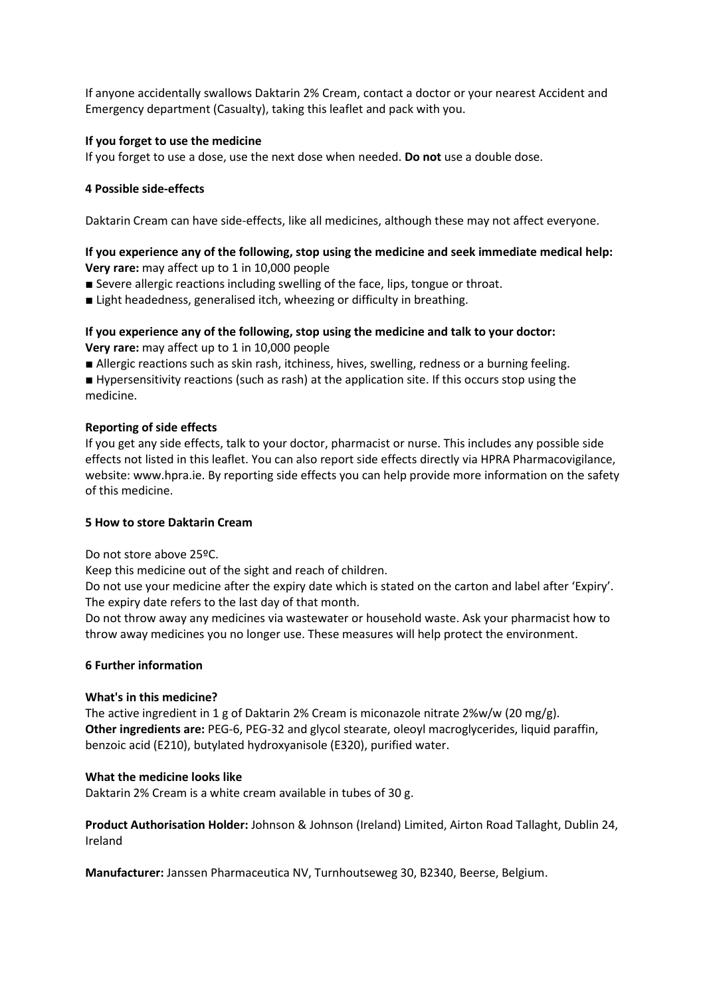If anyone accidentally swallows Daktarin 2% Cream, contact a doctor or your nearest Accident and Emergency department (Casualty), taking this leaflet and pack with you.

## **If you forget to use the medicine**

If you forget to use a dose, use the next dose when needed. **Do not** use a double dose.

# **4 Possible side-effects**

Daktarin Cream can have side-effects, like all medicines, although these may not affect everyone.

# **If you experience any of the following, stop using the medicine and seek immediate medical help: Very rare:** may affect up to 1 in 10,000 people

■ Severe allergic reactions including swelling of the face, lips, tongue or throat.

■ Light headedness, generalised itch, wheezing or difficulty in breathing.

# **If you experience any of the following, stop using the medicine and talk to your doctor: Very rare:** may affect up to 1 in 10,000 people

■ Allergic reactions such as skin rash, itchiness, hives, swelling, redness or a burning feeling.

■ Hypersensitivity reactions (such as rash) at the application site. If this occurs stop using the medicine.

# **Reporting of side effects**

If you get any side effects, talk to your doctor, pharmacist or nurse. This includes any possible side effects not listed in this leaflet. You can also report side effects directly via HPRA Pharmacovigilance, website: www.hpra.ie. By reporting side effects you can help provide more information on the safety of this medicine.

# **5 How to store Daktarin Cream**

Do not store above 25ºC.

Keep this medicine out of the sight and reach of children.

Do not use your medicine after the expiry date which is stated on the carton and label after 'Expiry'. The expiry date refers to the last day of that month.

Do not throw away any medicines via wastewater or household waste. Ask your pharmacist how to throw away medicines you no longer use. These measures will help protect the environment.

## **6 Further information**

## **What's in this medicine?**

The active ingredient in 1 g of Daktarin 2% Cream is miconazole nitrate 2%w/w (20 mg/g). **Other ingredients are:** PEG-6, PEG-32 and glycol stearate, oleoyl macroglycerides, liquid paraffin, benzoic acid (E210), butylated hydroxyanisole (E320), purified water.

# **What the medicine looks like**

Daktarin 2% Cream is a white cream available in tubes of 30 g.

**Product Authorisation Holder:** Johnson & Johnson (Ireland) Limited, Airton Road Tallaght, Dublin 24, Ireland

**Manufacturer:** Janssen Pharmaceutica NV, Turnhoutseweg 30, B2340, Beerse, Belgium.